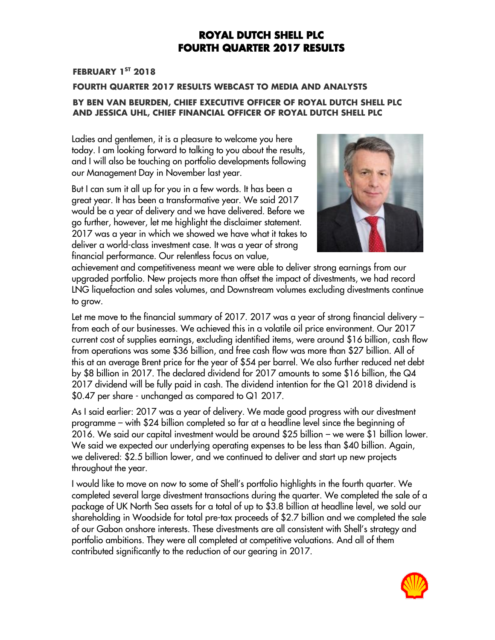#### **FEBRUARY 1 ST 2018**

#### **FOURTH QUARTER 2017 RESULTS WEBCAST TO MEDIA AND ANALYSTS BY BEN VAN BEURDEN, CHIEF EXECUTIVE OFFICER OF ROYAL DUTCH SHELL PLC AND JESSICA UHL, CHIEF FINANCIAL OFFICER OF ROYAL DUTCH SHELL PLC**

Ladies and gentlemen, it is a pleasure to welcome you here today. I am looking forward to talking to you about the results, and I will also be touching on portfolio developments following our Management Day in November last year.

But I can sum it all up for you in a few words. It has been a great year. It has been a transformative year. We said 2017 would be a year of delivery and we have delivered. Before we go further, however, let me highlight the disclaimer statement. 2017 was a year in which we showed we have what it takes to deliver a world-class investment case. It was a year of strong financial performance. Our relentless focus on value,



achievement and competitiveness meant we were able to deliver strong earnings from our upgraded portfolio. New projects more than offset the impact of divestments, we had record LNG liquefaction and sales volumes, and Downstream volumes excluding divestments continue to grow.

Let me move to the financial summary of 2017. 2017 was a year of strong financial delivery – from each of our businesses. We achieved this in a volatile oil price environment. Our 2017 current cost of supplies earnings, excluding identified items, were around \$16 billion, cash flow from operations was some \$36 billion, and free cash flow was more than \$27 billion. All of this at an average Brent price for the year of \$54 per barrel. We also further reduced net debt by \$8 billion in 2017. The declared dividend for 2017 amounts to some \$16 billion, the Q4 2017 dividend will be fully paid in cash. The dividend intention for the Q1 2018 dividend is \$0.47 per share - unchanged as compared to Q1 2017.

As I said earlier: 2017 was a year of delivery. We made good progress with our divestment programme – with \$24 billion completed so far at a headline level since the beginning of 2016. We said our capital investment would be around \$25 billion – we were \$1 billion lower. We said we expected our underlying operating expenses to be less than \$40 billion. Again, we delivered: \$2.5 billion lower, and we continued to deliver and start up new projects throughout the year.

I would like to move on now to some of Shell's portfolio highlights in the fourth quarter. We completed several large divestment transactions during the quarter. We completed the sale of a package of UK North Sea assets for a total of up to \$3.8 billion at headline level, we sold our shareholding in Woodside for total pre-tax proceeds of \$2.7 billion and we completed the sale of our Gabon onshore interests. These divestments are all consistent with Shell's strategy and portfolio ambitions. They were all completed at competitive valuations. And all of them contributed significantly to the reduction of our gearing in 2017.

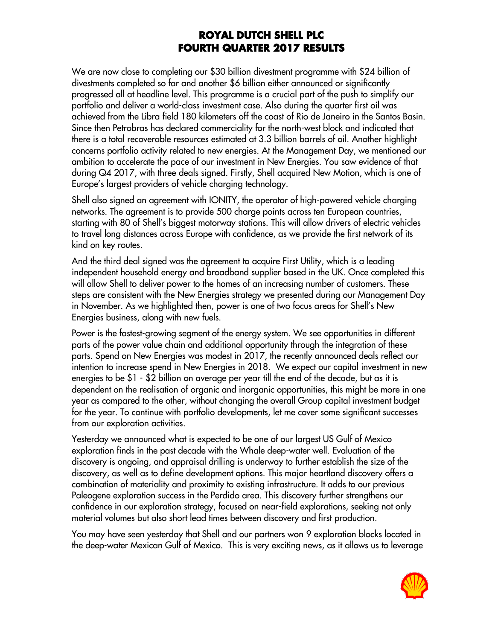We are now close to completing our \$30 billion divestment programme with \$24 billion of divestments completed so far and another \$6 billion either announced or significantly progressed all at headline level. This programme is a crucial part of the push to simplify our portfolio and deliver a world-class investment case. Also during the quarter first oil was achieved from the Libra field 180 kilometers off the coast of Rio de Janeiro in the Santos Basin. Since then Petrobras has declared commerciality for the north-west block and indicated that there is a total recoverable resources estimated at 3.3 billion barrels of oil. Another highlight concerns portfolio activity related to new energies. At the Management Day, we mentioned our ambition to accelerate the pace of our investment in New Energies. You saw evidence of that during Q4 2017, with three deals signed. Firstly, Shell acquired New Motion, which is one of Europe's largest providers of vehicle charging technology.

Shell also signed an agreement with IONITY, the operator of high-powered vehicle charging networks. The agreement is to provide 500 charge points across ten European countries, starting with 80 of Shell's biggest motorway stations. This will allow drivers of electric vehicles to travel long distances across Europe with confidence, as we provide the first network of its kind on key routes.

And the third deal signed was the agreement to acquire First Utility, which is a leading independent household energy and broadband supplier based in the UK. Once completed this will allow Shell to deliver power to the homes of an increasing number of customers. These steps are consistent with the New Energies strategy we presented during our Management Day in November. As we highlighted then, power is one of two focus areas for Shell's New Energies business, along with new fuels.

Power is the fastest-growing segment of the energy system. We see opportunities in different parts of the power value chain and additional opportunity through the integration of these parts. Spend on New Energies was modest in 2017, the recently announced deals reflect our intention to increase spend in New Energies in 2018. We expect our capital investment in new energies to be \$1 - \$2 billion on average per year till the end of the decade, but as it is dependent on the realisation of organic and inorganic opportunities, this might be more in one year as compared to the other, without changing the overall Group capital investment budget for the year. To continue with portfolio developments, let me cover some significant successes from our exploration activities.

Yesterday we announced what is expected to be one of our largest US Gulf of Mexico exploration finds in the past decade with the Whale deep-water well. Evaluation of the discovery is ongoing, and appraisal drilling is underway to further establish the size of the discovery, as well as to define development options. This major heartland discovery offers a combination of materiality and proximity to existing infrastructure. It adds to our previous Paleogene exploration success in the Perdido area. This discovery further strengthens our confidence in our exploration strategy, focused on near-field explorations, seeking not only material volumes but also short lead times between discovery and first production.

You may have seen yesterday that Shell and our partners won 9 exploration blocks located in the deep-water Mexican Gulf of Mexico. This is very exciting news, as it allows us to leverage

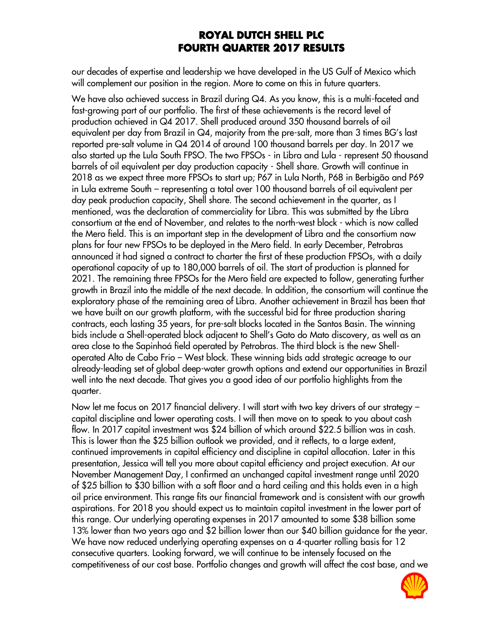our decades of expertise and leadership we have developed in the US Gulf of Mexico which will complement our position in the region. More to come on this in future quarters.

We have also achieved success in Brazil during Q4. As you know, this is a multi-faceted and fast-growing part of our portfolio. The first of these achievements is the record level of production achieved in Q4 2017. Shell produced around 350 thousand barrels of oil equivalent per day from Brazil in Q4, majority from the pre-salt, more than 3 times BG's last reported pre-salt volume in Q4 2014 of around 100 thousand barrels per day. In 2017 we also started up the Lula South FPSO. The two FPSOs - in Libra and Lula - represent 50 thousand barrels of oil equivalent per day production capacity - Shell share. Growth will continue in 2018 as we expect three more FPSOs to start up; P67 in Lula North, P68 in Berbigão and P69 in Lula extreme South – representing a total over 100 thousand barrels of oil equivalent per day peak production capacity, Shell share. The second achievement in the quarter, as I mentioned, was the declaration of commerciality for Libra. This was submitted by the Libra consortium at the end of November, and relates to the north-west block - which is now called the Mero field. This is an important step in the development of Libra and the consortium now plans for four new FPSOs to be deployed in the Mero field. In early December, Petrobras announced it had signed a contract to charter the first of these production FPSOs, with a daily operational capacity of up to 180,000 barrels of oil. The start of production is planned for 2021. The remaining three FPSOs for the Mero field are expected to follow, generating further growth in Brazil into the middle of the next decade. In addition, the consortium will continue the exploratory phase of the remaining area of Libra. Another achievement in Brazil has been that we have built on our growth platform, with the successful bid for three production sharing contracts, each lasting 35 years, for pre-salt blocks located in the Santos Basin. The winning bids include a Shell-operated block adjacent to Shell's Gato do Mato discovery, as well as an area close to the Sapinhoá field operated by Petrobras. The third block is the new Shelloperated Alto de Cabo Frio – West block. These winning bids add strategic acreage to our already-leading set of global deep-water growth options and extend our opportunities in Brazil well into the next decade. That gives you a good idea of our portfolio highlights from the quarter.

Now let me focus on 2017 financial delivery. I will start with two key drivers of our strategy – capital discipline and lower operating costs. I will then move on to speak to you about cash flow. In 2017 capital investment was \$24 billion of which around \$22.5 billion was in cash. This is lower than the \$25 billion outlook we provided, and it reflects, to a large extent, continued improvements in capital efficiency and discipline in capital allocation. Later in this presentation, Jessica will tell you more about capital efficiency and project execution. At our November Management Day, I confirmed an unchanged capital investment range until 2020 of \$25 billion to \$30 billion with a soft floor and a hard ceiling and this holds even in a high oil price environment. This range fits our financial framework and is consistent with our growth aspirations. For 2018 you should expect us to maintain capital investment in the lower part of this range. Our underlying operating expenses in 2017 amounted to some \$38 billion some 13% lower than two years ago and \$2 billion lower than our \$40 billion guidance for the year. We have now reduced underlying operating expenses on a 4-quarter rolling basis for 12 consecutive quarters. Looking forward, we will continue to be intensely focused on the competitiveness of our cost base. Portfolio changes and growth will affect the cost base, and we

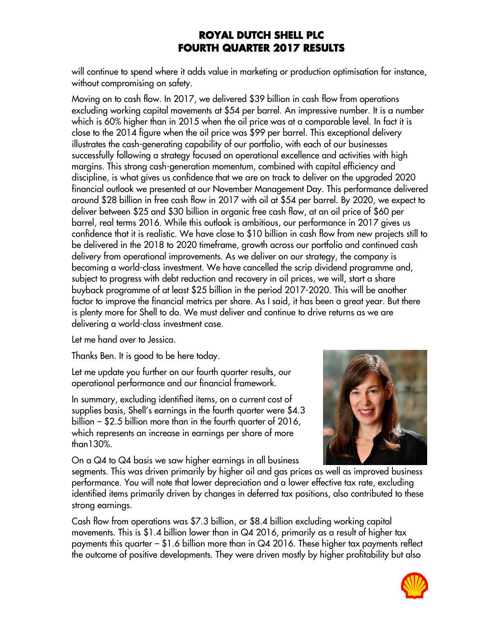will continue to spend where it adds value in marketing or production optimisation for instance, without compromising on safety.

Moving on to cash flow. In 2017, we delivered \$39 billion in cash flow from operations excluding working capital movements at \$54 per barrel. An impressive number. It is a number which is 60% higher than in 2015 when the oil price was at a comparable level. In fact it is close to the 2014 figure when the oil price was \$99 per barrel. This exceptional delivery illustrates the cash-generating capability of our portfolio, with each of our businesses successfully following a strategy focused on operational excellence and activities with high margins. This strong cash-generation momentum, combined with capital efficiency and discipline, is what gives us confidence that we are on track to deliver on the upgraded 2020 financial outlook we presented at our November Management Day. This performance delivered around \$28 billion in free cash flow in 2017 with oil at \$54 per barrel. By 2020, we expect to deliver between \$25 and \$30 billion in organic free cash flow, at an oil price of \$60 per barrel, real terms 2016. While this outlook is ambitious, our performance in 2017 gives us confidence that it is realistic. We have close to \$10 billion in cash flow from new projects still to be delivered in the 2018 to 2020 timeframe, growth across our portfolio and continued cash delivery from operational improvements. As we deliver on our strategy, the company is becoming a world-class investment. We have cancelled the scrip dividend programme and, subject to progress with debt reduction and recovery in oil prices, we will, start a share buyback programme of at least \$25 billion in the period 2017-2020. This will be another factor to improve the financial metrics per share. As I said, it has been a great year. But there is plenty more for Shell to do. We must deliver and continue to drive returns as we are delivering a world-class investment case.

Let me hand over to Jessica.

Thanks Ben. It is good to be here today.

Let me update you further on our fourth quarter results, our operational performance and our financial framework.

In summary, excluding identified items, on a current cost of supplies basis, Shell's earnings in the fourth quarter were \$4.3 billion – \$2.5 billion more than in the fourth quarter of 2016, which represents an increase in earnings per share of more than130%.

On a Q4 to Q4 basis we saw higher earnings in all business



segments. This was driven primarily by higher oil and gas prices as well as improved business performance. You will note that lower depreciation and a lower effective tax rate, excluding identified items primarily driven by changes in deferred tax positions, also contributed to these strong earnings.

Cash flow from operations was \$7.3 billion, or \$8.4 billion excluding working capital movements. This is \$1.4 billion lower than in Q4 2016, primarily as a result of higher tax payments this quarter – \$1.6 billion more than in Q4 2016. These higher tax payments reflect the outcome of positive developments. They were driven mostly by higher profitability but also

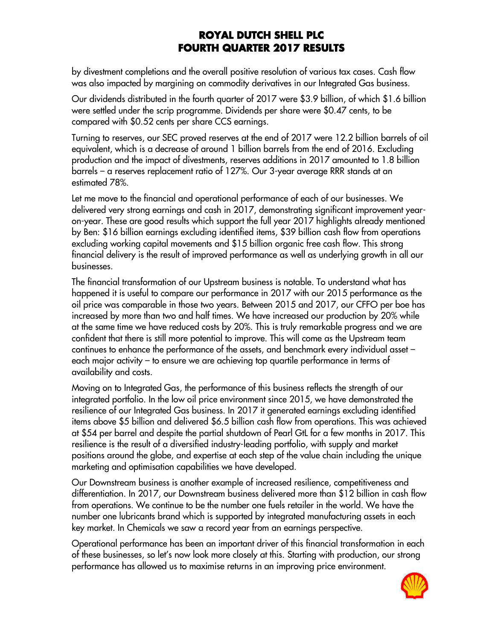by divestment completions and the overall positive resolution of various tax cases. Cash flow was also impacted by margining on commodity derivatives in our Integrated Gas business.

Our dividends distributed in the fourth quarter of 2017 were \$3.9 billion, of which \$1.6 billion were settled under the scrip programme. Dividends per share were \$0.47 cents, to be compared with \$0.52 cents per share CCS earnings.

Turning to reserves, our SEC proved reserves at the end of 2017 were 12.2 billion barrels of oil equivalent, which is a decrease of around 1 billion barrels from the end of 2016. Excluding production and the impact of divestments, reserves additions in 2017 amounted to 1.8 billion barrels – a reserves replacement ratio of 127%. Our 3-year average RRR stands at an estimated 78%.

Let me move to the financial and operational performance of each of our businesses. We delivered very strong earnings and cash in 2017, demonstrating significant improvement yearon-year. These are good results which support the full year 2017 highlights already mentioned by Ben: \$16 billion earnings excluding identified items, \$39 billion cash flow from operations excluding working capital movements and \$15 billion organic free cash flow. This strong financial delivery is the result of improved performance as well as underlying growth in all our businesses.

The financial transformation of our Upstream business is notable. To understand what has happened it is useful to compare our performance in 2017 with our 2015 performance as the oil price was comparable in those two years. Between 2015 and 2017, our CFFO per boe has increased by more than two and half times. We have increased our production by 20% while at the same time we have reduced costs by 20%. This is truly remarkable progress and we are confident that there is still more potential to improve. This will come as the Upstream team continues to enhance the performance of the assets, and benchmark every individual asset – each major activity – to ensure we are achieving top quartile performance in terms of availability and costs.

Moving on to Integrated Gas, the performance of this business reflects the strength of our integrated portfolio. In the low oil price environment since 2015, we have demonstrated the resilience of our Integrated Gas business. In 2017 it generated earnings excluding identified items above \$5 billion and delivered \$6.5 billion cash flow from operations. This was achieved at \$54 per barrel and despite the partial shutdown of Pearl GtL for a few months in 2017. This resilience is the result of a diversified industry-leading portfolio, with supply and market positions around the globe, and expertise at each step of the value chain including the unique marketing and optimisation capabilities we have developed.

Our Downstream business is another example of increased resilience, competitiveness and differentiation. In 2017, our Downstream business delivered more than \$12 billion in cash flow from operations. We continue to be the number one fuels retailer in the world. We have the number one lubricants brand which is supported by integrated manufacturing assets in each key market. In Chemicals we saw a record year from an earnings perspective.

Operational performance has been an important driver of this financial transformation in each of these businesses, so let's now look more closely at this. Starting with production, our strong performance has allowed us to maximise returns in an improving price environment.

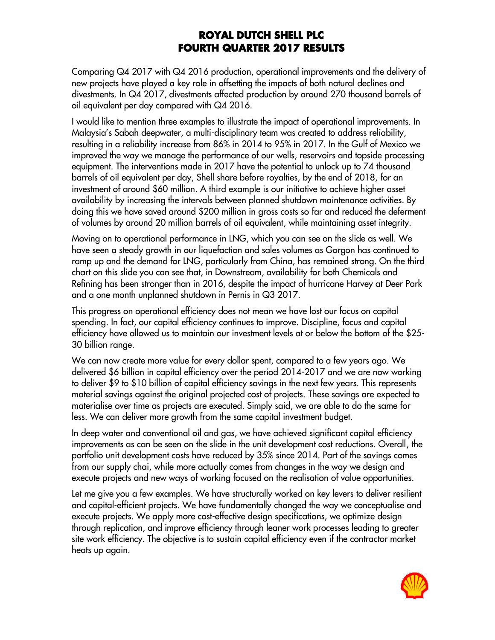Comparing Q4 2017 with Q4 2016 production, operational improvements and the delivery of new projects have played a key role in offsetting the impacts of both natural declines and divestments. In Q4 2017, divestments affected production by around 270 thousand barrels of oil equivalent per day compared with Q4 2016.

I would like to mention three examples to illustrate the impact of operational improvements. In Malaysia's Sabah deepwater, a multi-disciplinary team was created to address reliability, resulting in a reliability increase from 86% in 2014 to 95% in 2017. In the Gulf of Mexico we improved the way we manage the performance of our wells, reservoirs and topside processing equipment. The interventions made in 2017 have the potential to unlock up to 74 thousand barrels of oil equivalent per day, Shell share before royalties, by the end of 2018, for an investment of around \$60 million. A third example is our initiative to achieve higher asset availability by increasing the intervals between planned shutdown maintenance activities. By doing this we have saved around \$200 million in gross costs so far and reduced the deferment of volumes by around 20 million barrels of oil equivalent, while maintaining asset integrity.

Moving on to operational performance in LNG, which you can see on the slide as well. We have seen a steady growth in our liquefaction and sales volumes as Gorgon has continued to ramp up and the demand for LNG, particularly from China, has remained strong. On the third chart on this slide you can see that, in Downstream, availability for both Chemicals and Refining has been stronger than in 2016, despite the impact of hurricane Harvey at Deer Park and a one month unplanned shutdown in Pernis in Q3 2017.

This progress on operational efficiency does not mean we have lost our focus on capital spending. In fact, our capital efficiency continues to improve. Discipline, focus and capital efficiency have allowed us to maintain our investment levels at or below the bottom of the \$25- 30 billion range.

We can now create more value for every dollar spent, compared to a few years ago. We delivered \$6 billion in capital efficiency over the period 2014-2017 and we are now working to deliver \$9 to \$10 billion of capital efficiency savings in the next few years. This represents material savings against the original projected cost of projects. These savings are expected to materialise over time as projects are executed. Simply said, we are able to do the same for less. We can deliver more growth from the same capital investment budget.

In deep water and conventional oil and gas, we have achieved significant capital efficiency improvements as can be seen on the slide in the unit development cost reductions. Overall, the portfolio unit development costs have reduced by 35% since 2014. Part of the savings comes from our supply chai, while more actually comes from changes in the way we design and execute projects and new ways of working focused on the realisation of value opportunities.

Let me give you a few examples. We have structurally worked on key levers to deliver resilient and capital-efficient projects. We have fundamentally changed the way we conceptualise and execute projects. We apply more cost-effective design specifications, we optimize design through replication, and improve efficiency through leaner work processes leading to greater site work efficiency. The objective is to sustain capital efficiency even if the contractor market heats up again.

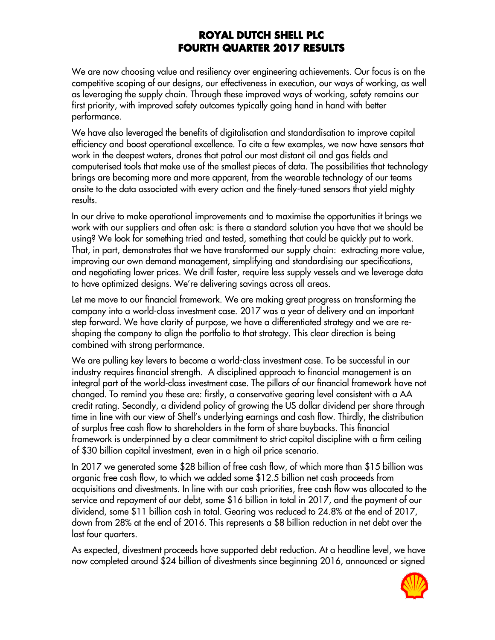We are now choosing value and resiliency over engineering achievements. Our focus is on the competitive scoping of our designs, our effectiveness in execution, our ways of working, as well as leveraging the supply chain. Through these improved ways of working, safety remains our first priority, with improved safety outcomes typically going hand in hand with better performance.

We have also leveraged the benefits of digitalisation and standardisation to improve capital efficiency and boost operational excellence. To cite a few examples, we now have sensors that work in the deepest waters, drones that patrol our most distant oil and gas fields and computerised tools that make use of the smallest pieces of data. The possibilities that technology brings are becoming more and more apparent, from the wearable technology of our teams onsite to the data associated with every action and the finely-tuned sensors that yield mighty results.

In our drive to make operational improvements and to maximise the opportunities it brings we work with our suppliers and often ask: is there a standard solution you have that we should be using? We look for something tried and tested, something that could be quickly put to work. That, in part, demonstrates that we have transformed our supply chain: extracting more value, improving our own demand management, simplifying and standardising our specifications, and negotiating lower prices. We drill faster, require less supply vessels and we leverage data to have optimized designs. We're delivering savings across all areas.

Let me move to our financial framework. We are making great progress on transforming the company into a world-class investment case. 2017 was a year of delivery and an important step forward. We have clarity of purpose, we have a differentiated strategy and we are reshaping the company to align the portfolio to that strategy. This clear direction is being combined with strong performance.

We are pulling key levers to become a world-class investment case. To be successful in our industry requires financial strength. A disciplined approach to financial management is an integral part of the world-class investment case. The pillars of our financial framework have not changed. To remind you these are: firstly, a conservative gearing level consistent with a AA credit rating. Secondly, a dividend policy of growing the US dollar dividend per share through time in line with our view of Shell's underlying earnings and cash flow. Thirdly, the distribution of surplus free cash flow to shareholders in the form of share buybacks. This financial framework is underpinned by a clear commitment to strict capital discipline with a firm ceiling of \$30 billion capital investment, even in a high oil price scenario.

In 2017 we generated some \$28 billion of free cash flow, of which more than \$15 billion was organic free cash flow, to which we added some \$12.5 billion net cash proceeds from acquisitions and divestments. In line with our cash priorities, free cash flow was allocated to the service and repayment of our debt, some \$16 billion in total in 2017, and the payment of our dividend, some \$11 billion cash in total. Gearing was reduced to 24.8% at the end of 2017, down from 28% at the end of 2016. This represents a \$8 billion reduction in net debt over the last four quarters.

As expected, divestment proceeds have supported debt reduction. At a headline level, we have now completed around \$24 billion of divestments since beginning 2016, announced or signed

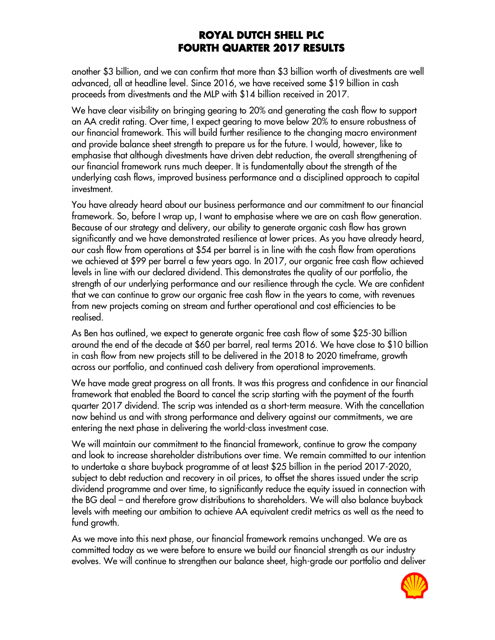another \$3 billion, and we can confirm that more than \$3 billion worth of divestments are well advanced, all at headline level. Since 2016, we have received some \$19 billion in cash proceeds from divestments and the MLP with \$14 billion received in 2017.

We have clear visibility on bringing gearing to 20% and generating the cash flow to support an AA credit rating. Over time, I expect gearing to move below 20% to ensure robustness of our financial framework. This will build further resilience to the changing macro environment and provide balance sheet strength to prepare us for the future. I would, however, like to emphasise that although divestments have driven debt reduction, the overall strengthening of our financial framework runs much deeper. It is fundamentally about the strength of the underlying cash flows, improved business performance and a disciplined approach to capital investment.

You have already heard about our business performance and our commitment to our financial framework. So, before I wrap up, I want to emphasise where we are on cash flow generation. Because of our strategy and delivery, our ability to generate organic cash flow has grown significantly and we have demonstrated resilience at lower prices. As you have already heard, our cash flow from operations at \$54 per barrel is in line with the cash flow from operations we achieved at \$99 per barrel a few years ago. In 2017, our organic free cash flow achieved levels in line with our declared dividend. This demonstrates the quality of our portfolio, the strength of our underlying performance and our resilience through the cycle. We are confident that we can continue to grow our organic free cash flow in the years to come, with revenues from new projects coming on stream and further operational and cost efficiencies to be realised.

As Ben has outlined, we expect to generate organic free cash flow of some \$25-30 billion around the end of the decade at \$60 per barrel, real terms 2016. We have close to \$10 billion in cash flow from new projects still to be delivered in the 2018 to 2020 timeframe, growth across our portfolio, and continued cash delivery from operational improvements.

We have made great progress on all fronts. It was this progress and confidence in our financial framework that enabled the Board to cancel the scrip starting with the payment of the fourth quarter 2017 dividend. The scrip was intended as a short-term measure. With the cancellation now behind us and with strong performance and delivery against our commitments, we are entering the next phase in delivering the world-class investment case.

We will maintain our commitment to the financial framework, continue to grow the company and look to increase shareholder distributions over time. We remain committed to our intention to undertake a share buyback programme of at least \$25 billion in the period 2017-2020, subject to debt reduction and recovery in oil prices, to offset the shares issued under the scrip dividend programme and over time, to significantly reduce the equity issued in connection with the BG deal – and therefore grow distributions to shareholders. We will also balance buyback levels with meeting our ambition to achieve AA equivalent credit metrics as well as the need to fund growth.

As we move into this next phase, our financial framework remains unchanged. We are as committed today as we were before to ensure we build our financial strength as our industry evolves. We will continue to strengthen our balance sheet, high-grade our portfolio and deliver

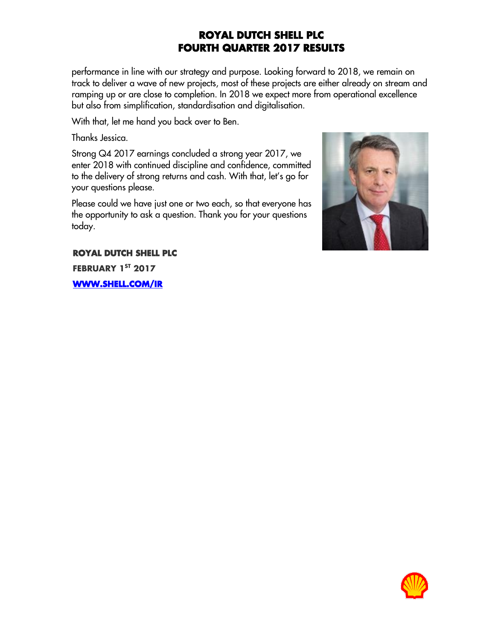performance in line with our strategy and purpose. Looking forward to 2018, we remain on track to deliver a wave of new projects, most of these projects are either already on stream and ramping up or are close to completion. In 2018 we expect more from operational excellence but also from simplification, standardisation and digitalisation.

With that, let me hand you back over to Ben.

Thanks Jessica.

Strong Q4 2017 earnings concluded a strong year 2017, we enter 2018 with continued discipline and confidence, committed to the delivery of strong returns and cash. With that, let's go for your questions please.

Please could we have just one or two each, so that everyone has the opportunity to ask a question. Thank you for your questions today.



**ROYAL DUTCH SHELL PLC FEBRUARY 1 ST 2017**

**[WWW.SHELL.COM/IR](http://www.shell.com/ir)**

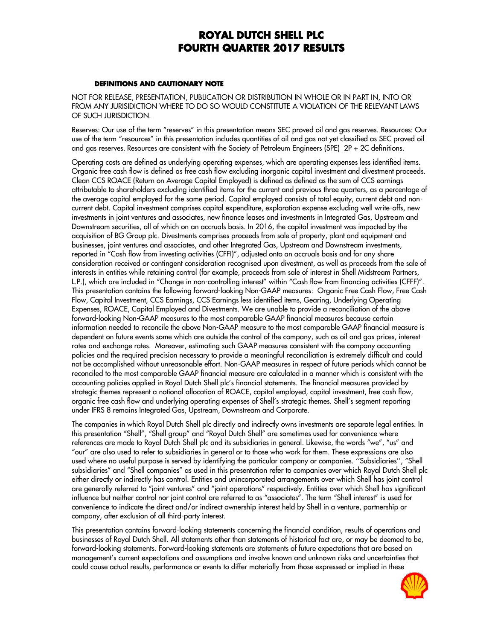#### **DEFINITIONS AND CAUTIONARY NOTE**

NOT FOR RELEASE, PRESENTATION, PUBLICATION OR DISTRIBUTION IN WHOLE OR IN PART IN, INTO OR FROM ANY JURISIDICTION WHERE TO DO SO WOULD CONSTITUTE A VIOLATION OF THE RELEVANT LAWS OF SUCH JURISDICTION.

Reserves: Our use of the term "reserves" in this presentation means SEC proved oil and gas reserves. Resources: Our use of the term "resources" in this presentation includes quantities of oil and gas not yet classified as SEC proved oil and gas reserves. Resources are consistent with the Society of Petroleum Engineers (SPE) 2P + 2C definitions.

Operating costs are defined as underlying operating expenses, which are operating expenses less identified items. Organic free cash flow is defined as free cash flow excluding inorganic capital investment and divestment proceeds. Clean CCS ROACE (Return on Average Capital Employed) is defined as defined as the sum of CCS earnings attributable to shareholders excluding identified items for the current and previous three quarters, as a percentage of the average capital employed for the same period. Capital employed consists of total equity, current debt and noncurrent debt. Capital investment comprises capital expenditure, exploration expense excluding well write-offs, new investments in joint ventures and associates, new finance leases and investments in Integrated Gas, Upstream and Downstream securities, all of which on an accruals basis. In 2016, the capital investment was impacted by the acquisition of BG Group plc. Divestments comprises proceeds from sale of property, plant and equipment and businesses, joint ventures and associates, and other Integrated Gas, Upstream and Downstream investments, reported in "Cash flow from investing activities (CFFI)", adjusted onto an accruals basis and for any share consideration received or contingent consideration recognised upon divestment, as well as proceeds from the sale of interests in entities while retaining control (for example, proceeds from sale of interest in Shell Midstream Partners, L.P.), which are included in "Change in non-controlling interest" within "Cash flow from financing activities (CFFF)". This presentation contains the following forward-looking Non-GAAP measures: Organic Free Cash Flow, Free Cash Flow, Capital Investment, CCS Earnings, CCS Earnings less identified items, Gearing, Underlying Operating Expenses, ROACE, Capital Employed and Divestments. We are unable to provide a reconciliation of the above forward-looking Non-GAAP measures to the most comparable GAAP financial measures because certain information needed to reconcile the above Non-GAAP measure to the most comparable GAAP financial measure is dependent on future events some which are outside the control of the company, such as oil and gas prices, interest rates and exchange rates. Moreover, estimating such GAAP measures consistent with the company accounting policies and the required precision necessary to provide a meaningful reconciliation is extremely difficult and could not be accomplished without unreasonable effort. Non-GAAP measures in respect of future periods which cannot be reconciled to the most comparable GAAP financial measure are calculated in a manner which is consistent with the accounting policies applied in Royal Dutch Shell plc's financial statements. The financial measures provided by strategic themes represent a notional allocation of ROACE, capital employed, capital investment, free cash flow, organic free cash flow and underlying operating expenses of Shell's strategic themes. Shell's segment reporting under IFRS 8 remains Integrated Gas, Upstream, Downstream and Corporate.

The companies in which Royal Dutch Shell plc directly and indirectly owns investments are separate legal entities. In this presentation "Shell", "Shell group" and "Royal Dutch Shell" are sometimes used for convenience where references are made to Royal Dutch Shell plc and its subsidiaries in general. Likewise, the words "we", "us" and "our" are also used to refer to subsidiaries in general or to those who work for them. These expressions are also used where no useful purpose is served by identifying the particular company or companies. ''Subsidiaries'', "Shell subsidiaries" and "Shell companies" as used in this presentation refer to companies over which Royal Dutch Shell plc either directly or indirectly has control. Entities and unincorporated arrangements over which Shell has joint control are generally referred to "joint ventures" and "joint operations" respectively. Entities over which Shell has significant influence but neither control nor joint control are referred to as "associates". The term "Shell interest" is used for convenience to indicate the direct and/or indirect ownership interest held by Shell in a venture, partnership or company, after exclusion of all third-party interest.

This presentation contains forward-looking statements concerning the financial condition, results of operations and businesses of Royal Dutch Shell. All statements other than statements of historical fact are, or may be deemed to be, forward-looking statements. Forward-looking statements are statements of future expectations that are based on management's current expectations and assumptions and involve known and unknown risks and uncertainties that could cause actual results, performance or events to differ materially from those expressed or implied in these